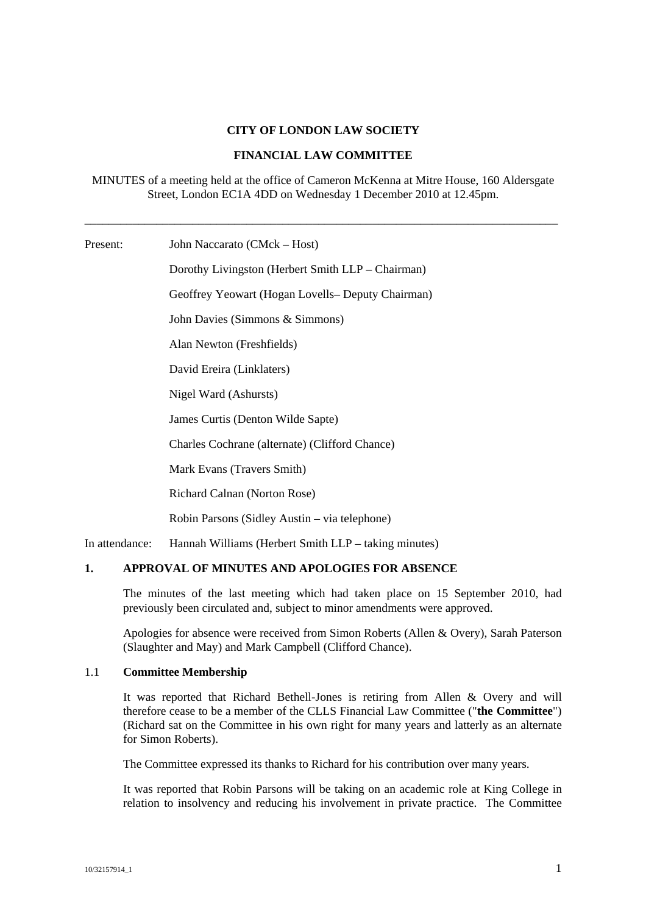## **CITY OF LONDON LAW SOCIETY**

#### **FINANCIAL LAW COMMITTEE**

MINUTES of a meeting held at the office of Cameron McKenna at Mitre House, 160 Aldersgate Street, London EC1A 4DD on Wednesday 1 December 2010 at 12.45pm.

\_\_\_\_\_\_\_\_\_\_\_\_\_\_\_\_\_\_\_\_\_\_\_\_\_\_\_\_\_\_\_\_\_\_\_\_\_\_\_\_\_\_\_\_\_\_\_\_\_\_\_\_\_\_\_\_\_\_\_\_\_\_\_\_\_\_\_\_\_\_\_\_\_\_\_\_\_\_\_

Present: John Naccarato (CMck – Host)

Dorothy Livingston (Herbert Smith LLP – Chairman) Geoffrey Yeowart (Hogan Lovells– Deputy Chairman) John Davies (Simmons & Simmons) Alan Newton (Freshfields) David Ereira (Linklaters) Nigel Ward (Ashursts) James Curtis (Denton Wilde Sapte) Charles Cochrane (alternate) (Clifford Chance) Mark Evans (Travers Smith) Richard Calnan (Norton Rose) Robin Parsons (Sidley Austin – via telephone) In attendance: Hannah Williams (Herbert Smith LLP – taking minutes)

## **1. APPROVAL OF MINUTES AND APOLOGIES FOR ABSENCE**

The minutes of the last meeting which had taken place on 15 September 2010, had previously been circulated and, subject to minor amendments were approved.

Apologies for absence were received from Simon Roberts (Allen & Overy), Sarah Paterson (Slaughter and May) and Mark Campbell (Clifford Chance).

# 1.1 **Committee Membership**

It was reported that Richard Bethell-Jones is retiring from Allen & Overy and will therefore cease to be a member of the CLLS Financial Law Committee ("**the Committee**") (Richard sat on the Committee in his own right for many years and latterly as an alternate for Simon Roberts).

The Committee expressed its thanks to Richard for his contribution over many years.

It was reported that Robin Parsons will be taking on an academic role at King College in relation to insolvency and reducing his involvement in private practice. The Committee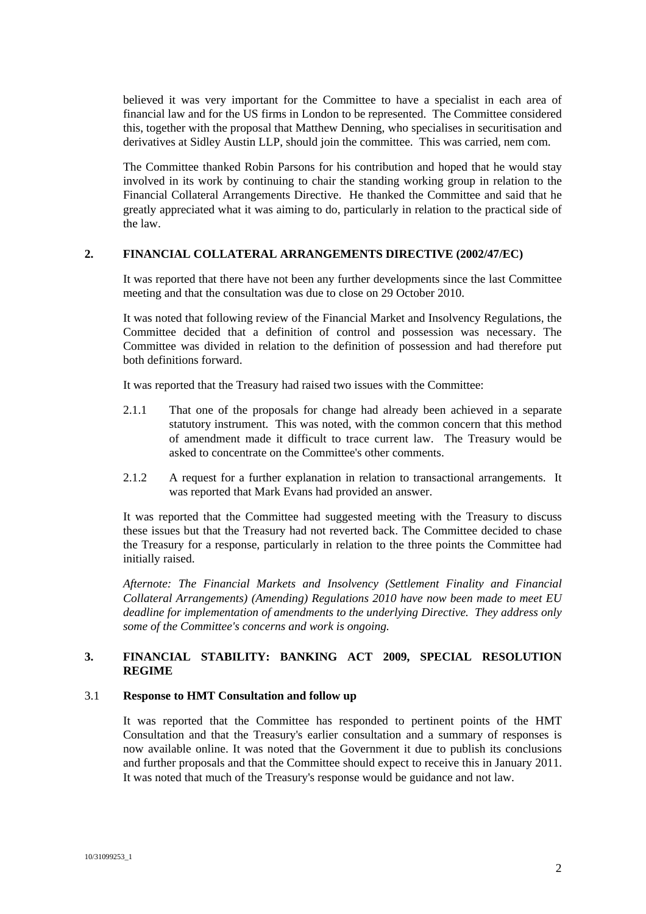believed it was very important for the Committee to have a specialist in each area of financial law and for the US firms in London to be represented. The Committee considered this, together with the proposal that Matthew Denning, who specialises in securitisation and derivatives at Sidley Austin LLP, should join the committee. This was carried, nem com.

The Committee thanked Robin Parsons for his contribution and hoped that he would stay involved in its work by continuing to chair the standing working group in relation to the Financial Collateral Arrangements Directive. He thanked the Committee and said that he greatly appreciated what it was aiming to do, particularly in relation to the practical side of the law.

## **2. FINANCIAL COLLATERAL ARRANGEMENTS DIRECTIVE (2002/47/EC)**

It was reported that there have not been any further developments since the last Committee meeting and that the consultation was due to close on 29 October 2010.

It was noted that following review of the Financial Market and Insolvency Regulations, the Committee decided that a definition of control and possession was necessary. The Committee was divided in relation to the definition of possession and had therefore put both definitions forward.

It was reported that the Treasury had raised two issues with the Committee:

- 2.1.1 That one of the proposals for change had already been achieved in a separate statutory instrument. This was noted, with the common concern that this method of amendment made it difficult to trace current law. The Treasury would be asked to concentrate on the Committee's other comments.
- 2.1.2 A request for a further explanation in relation to transactional arrangements. It was reported that Mark Evans had provided an answer.

It was reported that the Committee had suggested meeting with the Treasury to discuss these issues but that the Treasury had not reverted back. The Committee decided to chase the Treasury for a response, particularly in relation to the three points the Committee had initially raised.

*Afternote: The Financial Markets and Insolvency (Settlement Finality and Financial Collateral Arrangements) (Amending) Regulations 2010 have now been made to meet EU deadline for implementation of amendments to the underlying Directive. They address only some of the Committee's concerns and work is ongoing.* 

# **3. FINANCIAL STABILITY: BANKING ACT 2009, SPECIAL RESOLUTION REGIME**

#### 3.1 **Response to HMT Consultation and follow up**

It was reported that the Committee has responded to pertinent points of the HMT Consultation and that the Treasury's earlier consultation and a summary of responses is now available online. It was noted that the Government it due to publish its conclusions and further proposals and that the Committee should expect to receive this in January 2011. It was noted that much of the Treasury's response would be guidance and not law.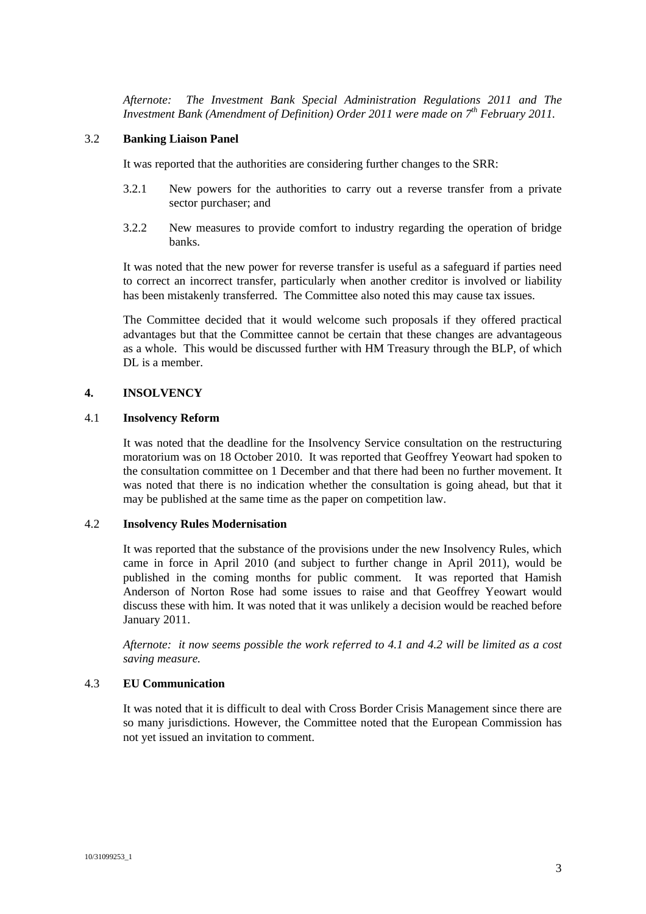*Afternote: The Investment Bank Special Administration Regulations 2011 and The Investment Bank (Amendment of Definition) Order 2011 were made on 7<sup>th</sup> February 2011.* 

## 3.2 **Banking Liaison Panel**

It was reported that the authorities are considering further changes to the SRR:

- 3.2.1 New powers for the authorities to carry out a reverse transfer from a private sector purchaser; and
- 3.2.2 New measures to provide comfort to industry regarding the operation of bridge banks.

It was noted that the new power for reverse transfer is useful as a safeguard if parties need to correct an incorrect transfer, particularly when another creditor is involved or liability has been mistakenly transferred. The Committee also noted this may cause tax issues.

The Committee decided that it would welcome such proposals if they offered practical advantages but that the Committee cannot be certain that these changes are advantageous as a whole. This would be discussed further with HM Treasury through the BLP, of which DL is a member.

## **4. INSOLVENCY**

#### 4.1 **Insolvency Reform**

It was noted that the deadline for the Insolvency Service consultation on the restructuring moratorium was on 18 October 2010. It was reported that Geoffrey Yeowart had spoken to the consultation committee on 1 December and that there had been no further movement. It was noted that there is no indication whether the consultation is going ahead, but that it may be published at the same time as the paper on competition law.

## 4.2 **Insolvency Rules Modernisation**

It was reported that the substance of the provisions under the new Insolvency Rules, which came in force in April 2010 (and subject to further change in April 2011), would be published in the coming months for public comment. It was reported that Hamish Anderson of Norton Rose had some issues to raise and that Geoffrey Yeowart would discuss these with him. It was noted that it was unlikely a decision would be reached before January 2011.

*Afternote: it now seems possible the work referred to 4.1 and 4.2 will be limited as a cost saving measure.* 

## 4.3 **EU Communication**

It was noted that it is difficult to deal with Cross Border Crisis Management since there are so many jurisdictions. However, the Committee noted that the European Commission has not yet issued an invitation to comment.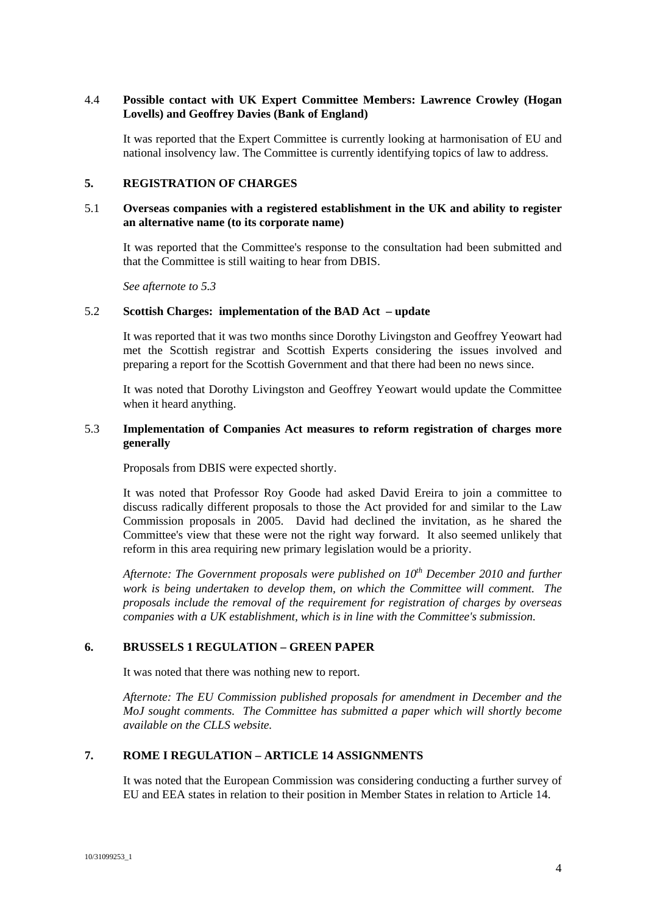## 4.4 **Possible contact with UK Expert Committee Members: Lawrence Crowley (Hogan Lovells) and Geoffrey Davies (Bank of England)**

It was reported that the Expert Committee is currently looking at harmonisation of EU and national insolvency law. The Committee is currently identifying topics of law to address.

## **5. REGISTRATION OF CHARGES**

## 5.1 **Overseas companies with a registered establishment in the UK and ability to register an alternative name (to its corporate name)**

It was reported that the Committee's response to the consultation had been submitted and that the Committee is still waiting to hear from DBIS.

*See afternote to 5.3* 

#### 5.2 **Scottish Charges: implementation of the BAD Act – update**

It was reported that it was two months since Dorothy Livingston and Geoffrey Yeowart had met the Scottish registrar and Scottish Experts considering the issues involved and preparing a report for the Scottish Government and that there had been no news since.

It was noted that Dorothy Livingston and Geoffrey Yeowart would update the Committee when it heard anything.

## 5.3 **Implementation of Companies Act measures to reform registration of charges more generally**

Proposals from DBIS were expected shortly.

It was noted that Professor Roy Goode had asked David Ereira to join a committee to discuss radically different proposals to those the Act provided for and similar to the Law Commission proposals in 2005. David had declined the invitation, as he shared the Committee's view that these were not the right way forward. It also seemed unlikely that reform in this area requiring new primary legislation would be a priority.

*Afternote: The Government proposals were published on 10<sup>th</sup> December 2010 and further work is being undertaken to develop them, on which the Committee will comment. The proposals include the removal of the requirement for registration of charges by overseas companies with a UK establishment, which is in line with the Committee's submission.*

## **6. BRUSSELS 1 REGULATION – GREEN PAPER**

It was noted that there was nothing new to report.

*Afternote: The EU Commission published proposals for amendment in December and the MoJ sought comments. The Committee has submitted a paper which will shortly become available on the CLLS website.* 

# **7. ROME I REGULATION – ARTICLE 14 ASSIGNMENTS**

It was noted that the European Commission was considering conducting a further survey of EU and EEA states in relation to their position in Member States in relation to Article 14.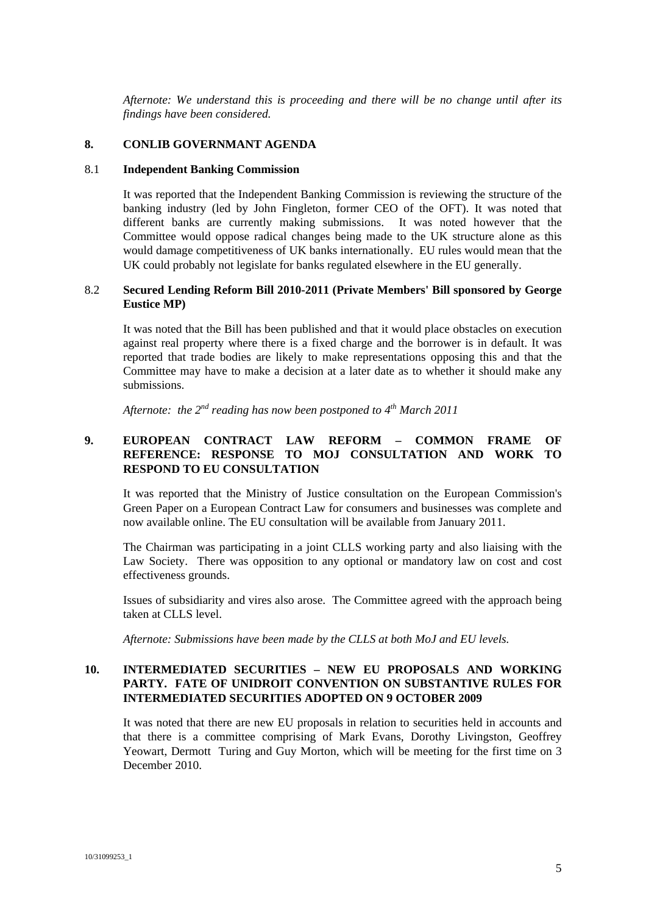*Afternote: We understand this is proceeding and there will be no change until after its findings have been considered.* 

## **8. CONLIB GOVERNMANT AGENDA**

## 8.1 **Independent Banking Commission**

It was reported that the Independent Banking Commission is reviewing the structure of the banking industry (led by John Fingleton, former CEO of the OFT). It was noted that different banks are currently making submissions. It was noted however that the Committee would oppose radical changes being made to the UK structure alone as this would damage competitiveness of UK banks internationally. EU rules would mean that the UK could probably not legislate for banks regulated elsewhere in the EU generally.

#### 8.2 **Secured Lending Reform Bill 2010-2011 (Private Members' Bill sponsored by George Eustice MP)**

It was noted that the Bill has been published and that it would place obstacles on execution against real property where there is a fixed charge and the borrower is in default. It was reported that trade bodies are likely to make representations opposing this and that the Committee may have to make a decision at a later date as to whether it should make any submissions.

*Afternote: the 2nd reading has now been postponed to 4th March 2011* 

# **9. EUROPEAN CONTRACT LAW REFORM – COMMON FRAME OF REFERENCE: RESPONSE TO MOJ CONSULTATION AND WORK TO RESPOND TO EU CONSULTATION**

It was reported that the Ministry of Justice consultation on the European Commission's Green Paper on a European Contract Law for consumers and businesses was complete and now available online. The EU consultation will be available from January 2011.

The Chairman was participating in a joint CLLS working party and also liaising with the Law Society. There was opposition to any optional or mandatory law on cost and cost effectiveness grounds.

Issues of subsidiarity and vires also arose. The Committee agreed with the approach being taken at CLLS level.

*Afternote: Submissions have been made by the CLLS at both MoJ and EU levels.* 

## **10. INTERMEDIATED SECURITIES – NEW EU PROPOSALS AND WORKING PARTY. FATE OF UNIDROIT CONVENTION ON SUBSTANTIVE RULES FOR INTERMEDIATED SECURITIES ADOPTED ON 9 OCTOBER 2009**

It was noted that there are new EU proposals in relation to securities held in accounts and that there is a committee comprising of Mark Evans, Dorothy Livingston, Geoffrey Yeowart, Dermott Turing and Guy Morton, which will be meeting for the first time on 3 December 2010.